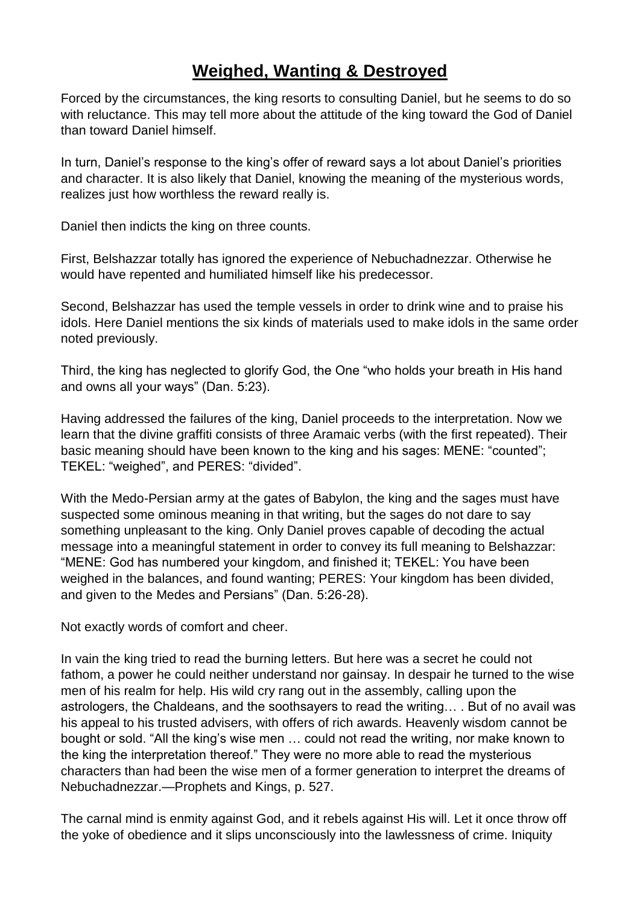## **Weighed, Wanting & Destroyed**

Forced by the circumstances, the king resorts to consulting Daniel, but he seems to do so with reluctance. This may tell more about the attitude of the king toward the God of Daniel than toward Daniel himself.

In turn, Daniel's response to the king's offer of reward says a lot about Daniel's priorities and character. It is also likely that Daniel, knowing the meaning of the mysterious words, realizes just how worthless the reward really is.

Daniel then indicts the king on three counts.

First, Belshazzar totally has ignored the experience of Nebuchadnezzar. Otherwise he would have repented and humiliated himself like his predecessor.

Second, Belshazzar has used the temple vessels in order to drink wine and to praise his idols. Here Daniel mentions the six kinds of materials used to make idols in the same order noted previously.

Third, the king has neglected to glorify God, the One "who holds your breath in His hand and owns all your ways" (Dan. 5:23).

Having addressed the failures of the king, Daniel proceeds to the interpretation. Now we learn that the divine graffiti consists of three Aramaic verbs (with the first repeated). Their basic meaning should have been known to the king and his sages: MENE: "counted"; TEKEL: "weighed", and PERES: "divided".

With the Medo-Persian army at the gates of Babylon, the king and the sages must have suspected some ominous meaning in that writing, but the sages do not dare to say something unpleasant to the king. Only Daniel proves capable of decoding the actual message into a meaningful statement in order to convey its full meaning to Belshazzar: "MENE: God has numbered your kingdom, and finished it; TEKEL: You have been weighed in the balances, and found wanting; PERES: Your kingdom has been divided, and given to the Medes and Persians" (Dan. 5:26-28).

Not exactly words of comfort and cheer.

In vain the king tried to read the burning letters. But here was a secret he could not fathom, a power he could neither understand nor gainsay. In despair he turned to the wise men of his realm for help. His wild cry rang out in the assembly, calling upon the astrologers, the Chaldeans, and the soothsayers to read the writing… . But of no avail was his appeal to his trusted advisers, with offers of rich awards. Heavenly wisdom cannot be bought or sold. "All the king's wise men … could not read the writing, nor make known to the king the interpretation thereof." They were no more able to read the mysterious characters than had been the wise men of a former generation to interpret the dreams of Nebuchadnezzar.—Prophets and Kings, p. 527.

The carnal mind is enmity against God, and it rebels against His will. Let it once throw off the yoke of obedience and it slips unconsciously into the lawlessness of crime. Iniquity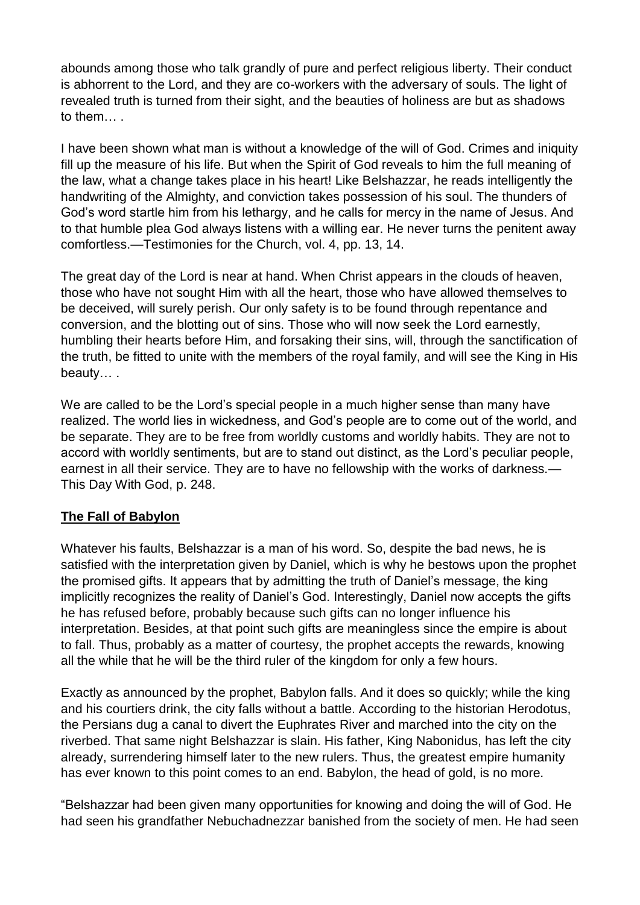abounds among those who talk grandly of pure and perfect religious liberty. Their conduct is abhorrent to the Lord, and they are co-workers with the adversary of souls. The light of revealed truth is turned from their sight, and the beauties of holiness are but as shadows to them

I have been shown what man is without a knowledge of the will of God. Crimes and iniquity fill up the measure of his life. But when the Spirit of God reveals to him the full meaning of the law, what a change takes place in his heart! Like Belshazzar, he reads intelligently the handwriting of the Almighty, and conviction takes possession of his soul. The thunders of God's word startle him from his lethargy, and he calls for mercy in the name of Jesus. And to that humble plea God always listens with a willing ear. He never turns the penitent away comfortless.—Testimonies for the Church, vol. 4, pp. 13, 14.

The great day of the Lord is near at hand. When Christ appears in the clouds of heaven, those who have not sought Him with all the heart, those who have allowed themselves to be deceived, will surely perish. Our only safety is to be found through repentance and conversion, and the blotting out of sins. Those who will now seek the Lord earnestly, humbling their hearts before Him, and forsaking their sins, will, through the sanctification of the truth, be fitted to unite with the members of the royal family, and will see the King in His beauty… .

We are called to be the Lord's special people in a much higher sense than many have realized. The world lies in wickedness, and God's people are to come out of the world, and be separate. They are to be free from worldly customs and worldly habits. They are not to accord with worldly sentiments, but are to stand out distinct, as the Lord's peculiar people, earnest in all their service. They are to have no fellowship with the works of darkness.— This Day With God, p. 248.

## **The Fall of Babylon**

Whatever his faults, Belshazzar is a man of his word. So, despite the bad news, he is satisfied with the interpretation given by Daniel, which is why he bestows upon the prophet the promised gifts. It appears that by admitting the truth of Daniel's message, the king implicitly recognizes the reality of Daniel's God. Interestingly, Daniel now accepts the gifts he has refused before, probably because such gifts can no longer influence his interpretation. Besides, at that point such gifts are meaningless since the empire is about to fall. Thus, probably as a matter of courtesy, the prophet accepts the rewards, knowing all the while that he will be the third ruler of the kingdom for only a few hours.

Exactly as announced by the prophet, Babylon falls. And it does so quickly; while the king and his courtiers drink, the city falls without a battle. According to the historian Herodotus, the Persians dug a canal to divert the Euphrates River and marched into the city on the riverbed. That same night Belshazzar is slain. His father, King Nabonidus, has left the city already, surrendering himself later to the new rulers. Thus, the greatest empire humanity has ever known to this point comes to an end. Babylon, the head of gold, is no more.

"Belshazzar had been given many opportunities for knowing and doing the will of God. He had seen his grandfather Nebuchadnezzar banished from the society of men. He had seen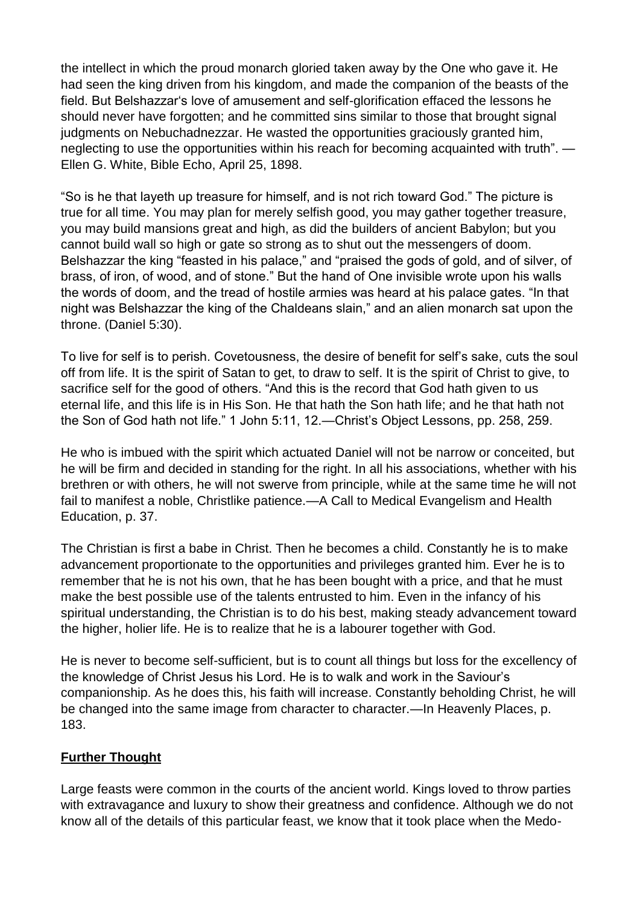the intellect in which the proud monarch gloried taken away by the One who gave it. He had seen the king driven from his kingdom, and made the companion of the beasts of the field. But Belshazzar's love of amusement and self-glorification effaced the lessons he should never have forgotten; and he committed sins similar to those that brought signal judgments on Nebuchadnezzar. He wasted the opportunities graciously granted him, neglecting to use the opportunities within his reach for becoming acquainted with truth". — Ellen G. White, Bible Echo, April 25, 1898.

"So is he that layeth up treasure for himself, and is not rich toward God." The picture is true for all time. You may plan for merely selfish good, you may gather together treasure, you may build mansions great and high, as did the builders of ancient Babylon; but you cannot build wall so high or gate so strong as to shut out the messengers of doom. Belshazzar the king "feasted in his palace," and "praised the gods of gold, and of silver, of brass, of iron, of wood, and of stone." But the hand of One invisible wrote upon his walls the words of doom, and the tread of hostile armies was heard at his palace gates. "In that night was Belshazzar the king of the Chaldeans slain," and an alien monarch sat upon the throne. (Daniel 5:30).

To live for self is to perish. Covetousness, the desire of benefit for self's sake, cuts the soul off from life. It is the spirit of Satan to get, to draw to self. It is the spirit of Christ to give, to sacrifice self for the good of others. "And this is the record that God hath given to us eternal life, and this life is in His Son. He that hath the Son hath life; and he that hath not the Son of God hath not life." 1 John 5:11, 12.—Christ's Object Lessons, pp. 258, 259.

He who is imbued with the spirit which actuated Daniel will not be narrow or conceited, but he will be firm and decided in standing for the right. In all his associations, whether with his brethren or with others, he will not swerve from principle, while at the same time he will not fail to manifest a noble, Christlike patience.—A Call to Medical Evangelism and Health Education, p. 37.

The Christian is first a babe in Christ. Then he becomes a child. Constantly he is to make advancement proportionate to the opportunities and privileges granted him. Ever he is to remember that he is not his own, that he has been bought with a price, and that he must make the best possible use of the talents entrusted to him. Even in the infancy of his spiritual understanding, the Christian is to do his best, making steady advancement toward the higher, holier life. He is to realize that he is a labourer together with God.

He is never to become self-sufficient, but is to count all things but loss for the excellency of the knowledge of Christ Jesus his Lord. He is to walk and work in the Saviour's companionship. As he does this, his faith will increase. Constantly beholding Christ, he will be changed into the same image from character to character.—In Heavenly Places, p. 183.

## **Further Thought**

Large feasts were common in the courts of the ancient world. Kings loved to throw parties with extravagance and luxury to show their greatness and confidence. Although we do not know all of the details of this particular feast, we know that it took place when the Medo-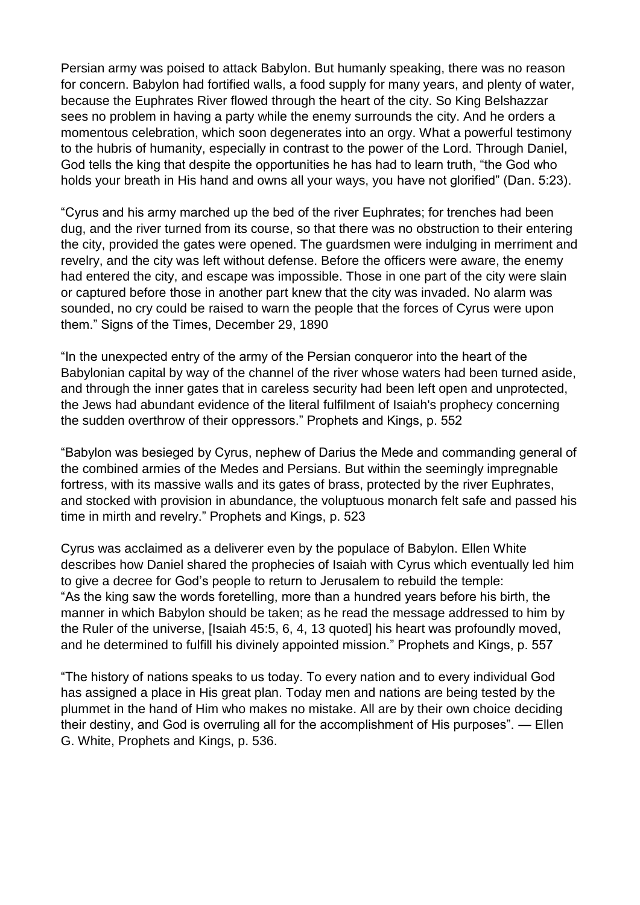Persian army was poised to attack Babylon. But humanly speaking, there was no reason for concern. Babylon had fortified walls, a food supply for many years, and plenty of water, because the Euphrates River flowed through the heart of the city. So King Belshazzar sees no problem in having a party while the enemy surrounds the city. And he orders a momentous celebration, which soon degenerates into an orgy. What a powerful testimony to the hubris of humanity, especially in contrast to the power of the Lord. Through Daniel, God tells the king that despite the opportunities he has had to learn truth, "the God who holds your breath in His hand and owns all your ways, you have not glorified" (Dan. 5:23).

"Cyrus and his army marched up the bed of the river Euphrates; for trenches had been dug, and the river turned from its course, so that there was no obstruction to their entering the city, provided the gates were opened. The guardsmen were indulging in merriment and revelry, and the city was left without defense. Before the officers were aware, the enemy had entered the city, and escape was impossible. Those in one part of the city were slain or captured before those in another part knew that the city was invaded. No alarm was sounded, no cry could be raised to warn the people that the forces of Cyrus were upon them." Signs of the Times, December 29, 1890

"In the unexpected entry of the army of the Persian conqueror into the heart of the Babylonian capital by way of the channel of the river whose waters had been turned aside, and through the inner gates that in careless security had been left open and unprotected, the Jews had abundant evidence of the literal fulfilment of Isaiah's prophecy concerning the sudden overthrow of their oppressors." Prophets and Kings, p. 552

"Babylon was besieged by Cyrus, nephew of Darius the Mede and commanding general of the combined armies of the Medes and Persians. But within the seemingly impregnable fortress, with its massive walls and its gates of brass, protected by the river Euphrates, and stocked with provision in abundance, the voluptuous monarch felt safe and passed his time in mirth and revelry." Prophets and Kings, p. 523

Cyrus was acclaimed as a deliverer even by the populace of Babylon. Ellen White describes how Daniel shared the prophecies of Isaiah with Cyrus which eventually led him to give a decree for God's people to return to Jerusalem to rebuild the temple: "As the king saw the words foretelling, more than a hundred years before his birth, the manner in which Babylon should be taken; as he read the message addressed to him by the Ruler of the universe, [Isaiah 45:5, 6, 4, 13 quoted] his heart was profoundly moved, and he determined to fulfill his divinely appointed mission." Prophets and Kings, p. 557

"The history of nations speaks to us today. To every nation and to every individual God has assigned a place in His great plan. Today men and nations are being tested by the plummet in the hand of Him who makes no mistake. All are by their own choice deciding their destiny, and God is overruling all for the accomplishment of His purposes". — Ellen G. White, Prophets and Kings, p. 536.